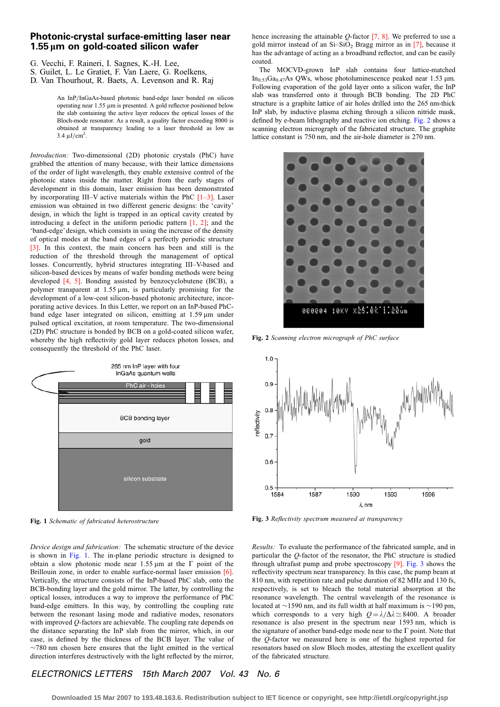## <span id="page-0-0"></span>Photonic-crystal surface-emitting laser near 1.55 *l*m on gold-coated silicon wafer

G. Vecchi, F. Raineri, I. Sagnes, K.-H. Lee,

D. Van Thourhout, R. Baets, A. Levenson and R. Raj

An InP/InGaAs-based photonic band-edge laser bonded on silicon operating near 1.55 µm is presented. A gold reflector positioned below the slab containing the active layer reduces the optical losses of the Bloch-mode resonator. As a result, a quality factor exceeding 8000 is obtained at transparency leading to a laser threshold as low as  $3.4 \mu J/cm^2$ .

Introduction: Two-dimensional (2D) photonic crystals (PhC) have grabbed the attention of many because, with their lattice dimensions of the order of light wavelength, they enable extensive control of the photonic states inside the matter. Right from the early stages of development in this domain, laser emission has been demonstrated by incorporating III–V active materials within the PhC  $[1-3]$ . Laser emission was obtained in two different generic designs: the 'cavity' design, in which the light is trapped in an optical cavity created by introducing a defect in the uniform periodic pattern [\[1, 2\];](#page-1-0) and the 'band-edge' design, which consists in using the increase of the density of optical modes at the band edges of a perfectly periodic structure [\[3\]](#page-1-0). In this context, the main concern has been and still is the reduction of the threshold through the management of optical losses. Concurrently, hybrid structures integrating III–V-based and silicon-based devices by means of wafer bonding methods were being developed [\[4, 5\].](#page-1-0) Bonding assisted by benzocyclobutene (BCB), a polymer transparent at  $1.55 \mu m$ , is particularly promising for the development of a low-cost silicon-based photonic architecture, incorporating active devices. In this Letter, we report on an InP-based PhCband edge laser integrated on silicon, emitting at  $1.59 \,\mu m$  under pulsed optical excitation, at room temperature. The two-dimensional (2D) PhC structure is bonded by BCB on a gold-coated silicon wafer, whereby the high reflectivity gold layer reduces photon losses, and consequently the threshold of the PhC laser.



Fig. 1 Schematic of fabricated heterostructure

Device design and fabrication: The schematic structure of the device is shown in Fig. 1. The in-plane periodic structure is designed to obtain a slow photonic mode near 1.55  $\mu$ m at the  $\Gamma$  point of the Brillouin zone, in order to enable surface-normal laser emission [\[6\].](#page-1-0) Vertically, the structure consists of the InP-based PhC slab, onto the BCB-bonding layer and the gold mirror. The latter, by controlling the optical losses, introduces a way to improve the performance of PhC band-edge emitters. In this way, by controlling the coupling rate between the resonant lasing mode and radiative modes, resonators with improved Q-factors are achievable. The coupling rate depends on the distance separating the InP slab from the mirror, which, in our case, is defined by the thickness of the BCB layer. The value of  $\sim$ 780 nm chosen here ensures that the light emitted in the vertical direction interferes destructively with the light reflected by the mirror,

hence increasing the attainable  $Q$ -factor  $[7, 8]$ . We preferred to use a gold mirror instead of an  $Si-SiO<sub>2</sub>$  Bragg mirror as in [\[7\],](#page-1-0) because it has the advantage of acting as a broadband reflector, and can be easily coated.

The MOCVD-grown InP slab contains four lattice-matched In<sub>0.53</sub>Ga<sub>0.47</sub>As QWs, whose photoluminescence peaked near 1.53  $\mu$ m. Following evaporation of the gold layer onto a silicon wafer, the InP slab was transferred onto it through BCB bonding. The 2D PhC structure is a graphite lattice of air holes drilled into the 265 nm-thick InP slab, by inductive plasma etching through a silicon nitride mask, defined by e-beam lithography and reactive ion etching. Fig. 2 shows a scanning electron micrograph of the fabricated structure. The graphite lattice constant is 750 nm, and the air-hole diameter is 270 nm.



Fig. 2 Scanning electron micrograph of PhC surface



Fig. 3 Reflectivity spectrum measured at transparency

Results: To evaluate the performance of the fabricated sample, and in particular the Q-factor of the resonator, the PhC structure is studied through ultrafast pump and probe spectroscopy [\[9\].](#page-1-0) Fig. 3 shows the reflectivity spectrum near transparency. In this case, the pump beam at 810 nm, with repetition rate and pulse duration of 82 MHz and 130 fs, respectively, is set to bleach the total material absorption at the resonance wavelength. The central wavelength of the resonance is located at  $\sim$ 1590 nm, and its full width at half maximum is  $\sim$ 190 pm, which corresponds to a very high  $Q = \lambda / \Delta \lambda \approx 8400$ . A broader resonance is also present in the spectrum near 1593 nm, which is the signature of another band-edge mode near to the  $\Gamma$  point. Note that the Q-factor we measured here is one of the highest reported for resonators based on slow Bloch modes, attesting the excellent quality of the fabricated structure.

## ELECTRONICS LETTERS 15th March 2007 Vol. 43 No. 6

S. Guilet, L. Le Gratiet, F. Van Laere, G. Roelkens,